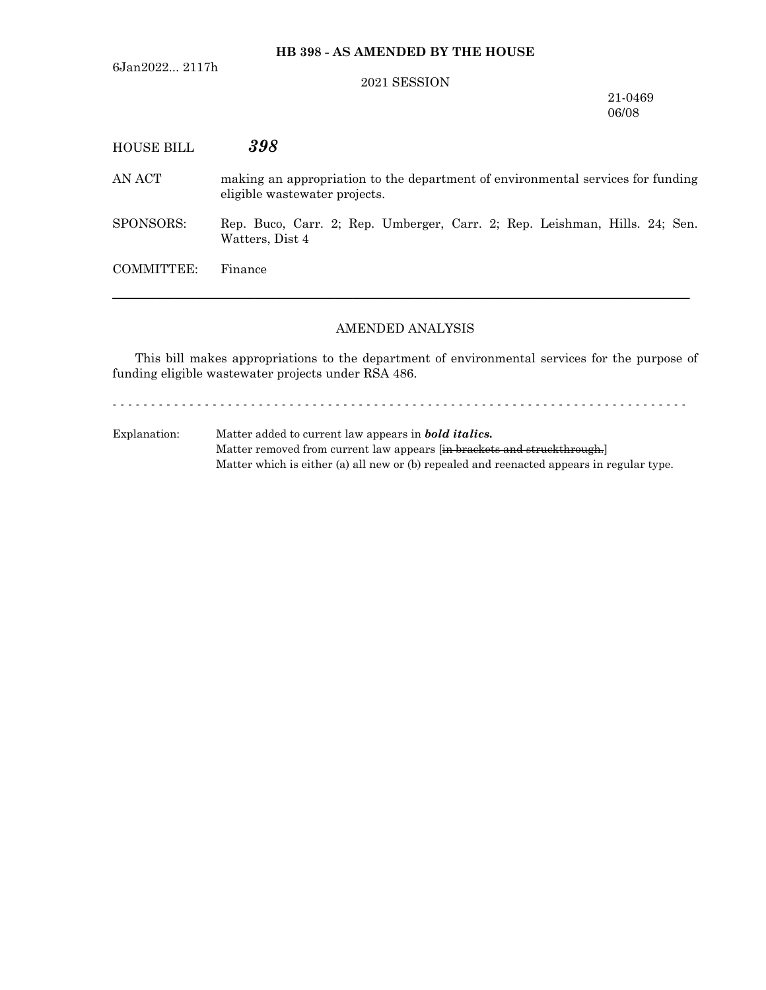6Jan2022... 2117h

#### 2021 SESSION

21-0469 06/08

| HOUSE BILL | 398                                                                                                              |
|------------|------------------------------------------------------------------------------------------------------------------|
| AN ACT     | making an appropriation to the department of environmental services for funding<br>eligible wastewater projects. |
| SPONSORS:  | Rep. Buco, Carr. 2; Rep. Umberger, Carr. 2; Rep. Leishman, Hills. 24; Sen.<br>Watters, Dist 4                    |
| COMMITTEE: | Finance                                                                                                          |
|            |                                                                                                                  |

# AMENDED ANALYSIS

This bill makes appropriations to the department of environmental services for the purpose of funding eligible wastewater projects under RSA 486.

- - - - - - - - - - - - - - - - - - - - - - - - - - - - - - - - - - - - - - - - - - - - - - - - - - - - - - - - - - - - - - - - - - - - - - - - - - -

Explanation: Matter added to current law appears in *bold italics.* Matter removed from current law appears [in brackets and struckthrough.] Matter which is either (a) all new or (b) repealed and reenacted appears in regular type.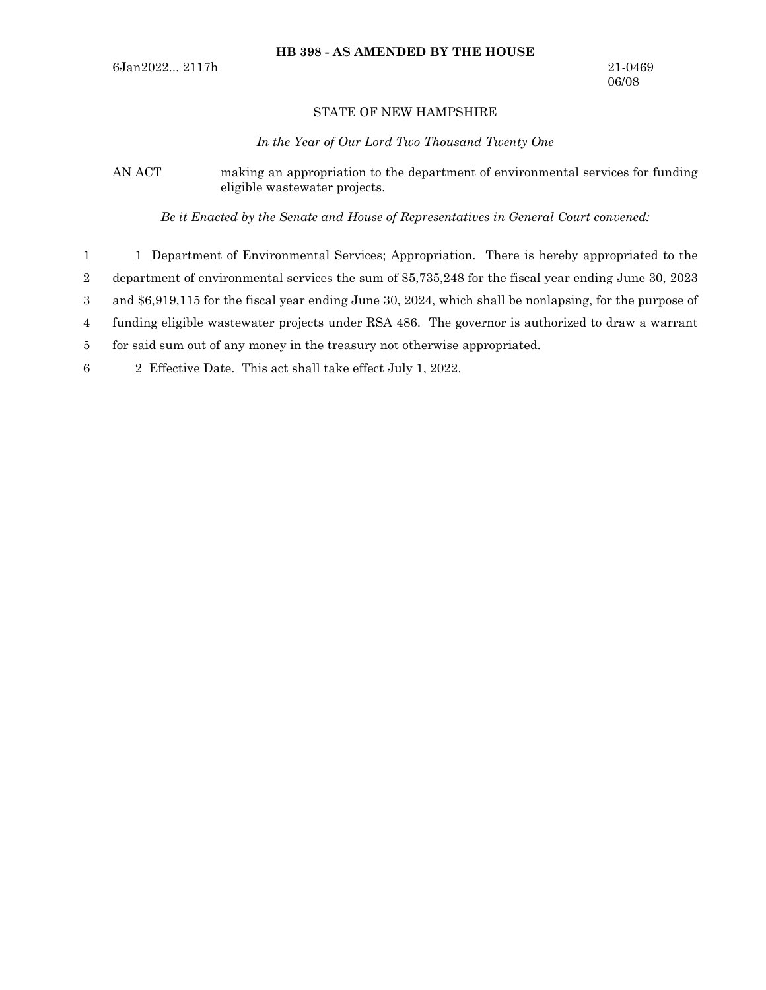### STATE OF NEW HAMPSHIRE

*In the Year of Our Lord Two Thousand Twenty One*

AN ACT making an appropriation to the department of environmental services for funding eligible wastewater projects.

*Be it Enacted by the Senate and House of Representatives in General Court convened:*

1 Department of Environmental Services; Appropriation. There is hereby appropriated to the department of environmental services the sum of \$5,735,248 for the fiscal year ending June 30, 2023 1 2

and \$6,919,115 for the fiscal year ending June 30, 2024, which shall be nonlapsing, for the purpose of 3

funding eligible wastewater projects under RSA 486. The governor is authorized to draw a warrant 4

for said sum out of any money in the treasury not otherwise appropriated. 5

2 Effective Date. This act shall take effect July 1, 2022. 6